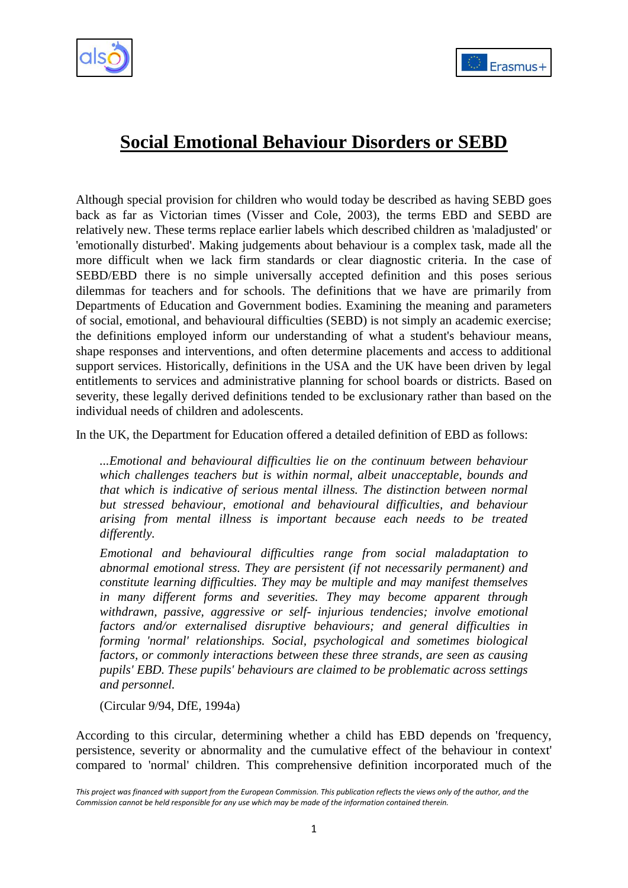



# **Social Emotional Behaviour Disorders or SEBD**

Although special provision for children who would today be described as having SEBD goes back as far as Victorian times (Visser and Cole, 2003), the terms EBD and SEBD are relatively new. These terms replace earlier labels which described children as 'maladjusted' or 'emotionally disturbed'. Making judgements about behaviour is a complex task, made all the more difficult when we lack firm standards or clear diagnostic criteria. In the case of SEBD/EBD there is no simple universally accepted definition and this poses serious dilemmas for teachers and for schools. The definitions that we have are primarily from Departments of Education and Government bodies. Examining the meaning and parameters of social, emotional, and behavioural difficulties (SEBD) is not simply an academic exercise; the definitions employed inform our understanding of what a student's behaviour means, shape responses and interventions, and often determine placements and access to additional support services. Historically, definitions in the USA and the UK have been driven by legal entitlements to services and administrative planning for school boards or districts. Based on severity, these legally derived definitions tended to be exclusionary rather than based on the individual needs of children and adolescents.

In the UK, the Department for Education offered a detailed definition of EBD as follows:

*...Emotional and behavioural difficulties lie on the continuum between behaviour which challenges teachers but is within normal, albeit unacceptable, bounds and that which is indicative of serious mental illness. The distinction between normal but stressed behaviour, emotional and behavioural difficulties, and behaviour arising from mental illness is important because each needs to be treated differently.*

*Emotional and behavioural difficulties range from social maladaptation to abnormal emotional stress. They are persistent (if not necessarily permanent) and constitute learning difficulties. They may be multiple and may manifest themselves in many different forms and severities. They may become apparent through withdrawn, passive, aggressive or self- injurious tendencies; involve emotional factors and/or externalised disruptive behaviours; and general difficulties in forming 'normal' relationships. Social, psychological and sometimes biological factors, or commonly interactions between these three strands, are seen as causing pupils' EBD. These pupils' behaviours are claimed to be problematic across settings and personnel.*

(Circular 9/94, DfE, 1994a)

According to this circular, determining whether a child has EBD depends on 'frequency, persistence, severity or abnormality and the cumulative effect of the behaviour in context' compared to 'normal' children. This comprehensive definition incorporated much of the

*This project was financed with support from the European Commission. This publication reflects the views only of the author, and the Commission cannot be held responsible for any use which may be made of the information contained therein.*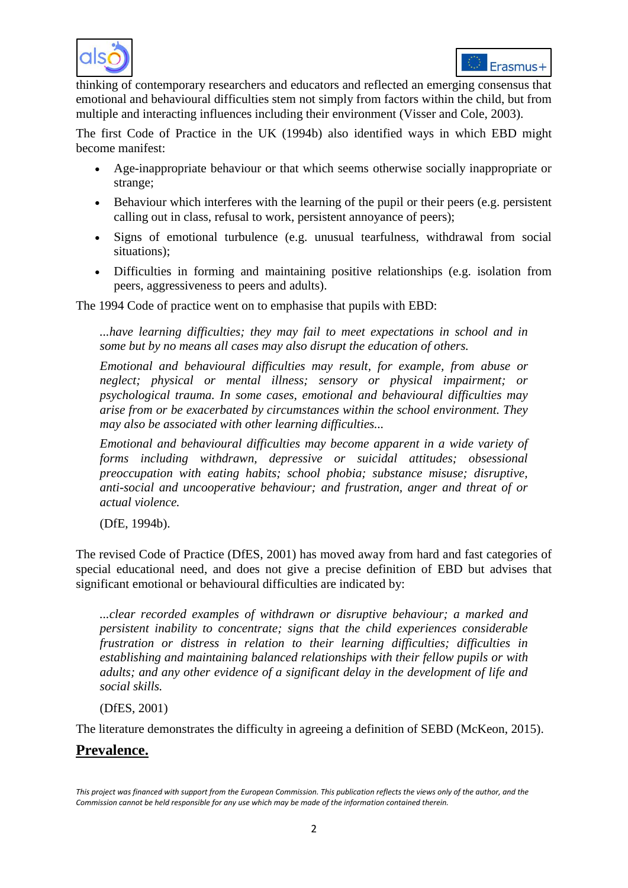



thinking of contemporary researchers and educators and reflected an emerging consensus that emotional and behavioural difficulties stem not simply from factors within the child, but from multiple and interacting influences including their environment (Visser and Cole, 2003).

The first Code of Practice in the UK (1994b) also identified ways in which EBD might become manifest:

- Age-inappropriate behaviour or that which seems otherwise socially inappropriate or strange;
- Behaviour which interferes with the learning of the pupil or their peers (e.g. persistent calling out in class, refusal to work, persistent annoyance of peers);
- Signs of emotional turbulence (e.g. unusual tearfulness, withdrawal from social situations);
- Difficulties in forming and maintaining positive relationships (e.g. isolation from peers, aggressiveness to peers and adults).

The 1994 Code of practice went on to emphasise that pupils with EBD:

*...have learning difficulties; they may fail to meet expectations in school and in some but by no means all cases may also disrupt the education of others.*

*Emotional and behavioural difficulties may result, for example, from abuse or neglect; physical or mental illness; sensory or physical impairment; or psychological trauma. In some cases, emotional and behavioural difficulties may arise from or be exacerbated by circumstances within the school environment. They may also be associated with other learning difficulties...*

*Emotional and behavioural difficulties may become apparent in a wide variety of forms including withdrawn, depressive or suicidal attitudes; obsessional preoccupation with eating habits; school phobia; substance misuse; disruptive, anti-social and uncooperative behaviour; and frustration, anger and threat of or actual violence.*

(DfE, 1994b).

The revised Code of Practice (DfES, 2001) has moved away from hard and fast categories of special educational need, and does not give a precise definition of EBD but advises that significant emotional or behavioural difficulties are indicated by:

*...clear recorded examples of withdrawn or disruptive behaviour; a marked and persistent inability to concentrate; signs that the child experiences considerable frustration or distress in relation to their learning difficulties; difficulties in establishing and maintaining balanced relationships with their fellow pupils or with adults; and any other evidence of a significant delay in the development of life and social skills.*

(DfES, 2001)

The literature demonstrates the difficulty in agreeing a definition of SEBD (McKeon, 2015).

# **Prevalence.**

*This project was financed with support from the European Commission. This publication reflects the views only of the author, and the Commission cannot be held responsible for any use which may be made of the information contained therein.*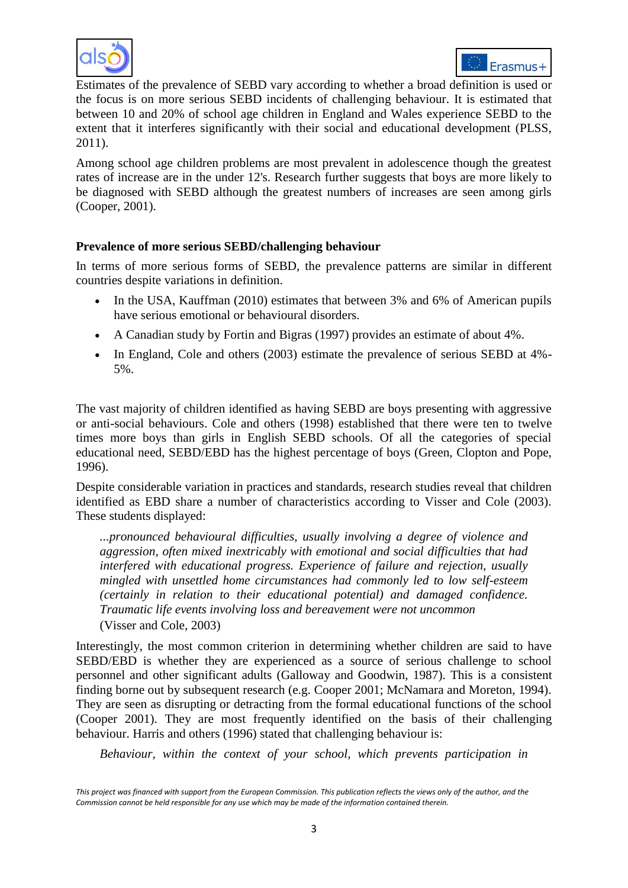



Estimates of the prevalence of SEBD vary according to whether a broad definition is used or the focus is on more serious SEBD incidents of challenging behaviour. It is estimated that between 10 and 20% of school age children in England and Wales experience SEBD to the extent that it interferes significantly with their social and educational development (PLSS, 2011).

Among school age children problems are most prevalent in adolescence though the greatest rates of increase are in the under 12's. Research further suggests that boys are more likely to be diagnosed with SEBD although the greatest numbers of increases are seen among girls (Cooper, 2001).

### **Prevalence of more serious SEBD/challenging behaviour**

In terms of more serious forms of SEBD, the prevalence patterns are similar in different countries despite variations in definition.

- In the USA, Kauffman (2010) estimates that between 3% and 6% of American pupils have serious emotional or behavioural disorders.
- A Canadian study by Fortin and Bigras (1997) provides an estimate of about 4%.
- In England, Cole and others (2003) estimate the prevalence of serious SEBD at 4%- 5%.

The vast majority of children identified as having SEBD are boys presenting with aggressive or anti-social behaviours. Cole and others (1998) established that there were ten to twelve times more boys than girls in English SEBD schools. Of all the categories of special educational need, SEBD/EBD has the highest percentage of boys (Green, Clopton and Pope, 1996).

Despite considerable variation in practices and standards, research studies reveal that children identified as EBD share a number of characteristics according to Visser and Cole (2003). These students displayed:

*...pronounced behavioural difficulties, usually involving a degree of violence and aggression, often mixed inextricably with emotional and social difficulties that had interfered with educational progress. Experience of failure and rejection, usually mingled with unsettled home circumstances had commonly led to low self-esteem (certainly in relation to their educational potential) and damaged confidence. Traumatic life events involving loss and bereavement were not uncommon* (Visser and Cole, 2003)

Interestingly, the most common criterion in determining whether children are said to have SEBD/EBD is whether they are experienced as a source of serious challenge to school personnel and other significant adults (Galloway and Goodwin, 1987). This is a consistent finding borne out by subsequent research (e.g. Cooper 2001; McNamara and Moreton, 1994). They are seen as disrupting or detracting from the formal educational functions of the school (Cooper 2001). They are most frequently identified on the basis of their challenging behaviour. Harris and others (1996) stated that challenging behaviour is:

*Behaviour, within the context of your school, which prevents participation in* 

*This project was financed with support from the European Commission. This publication reflects the views only of the author, and the Commission cannot be held responsible for any use which may be made of the information contained therein.*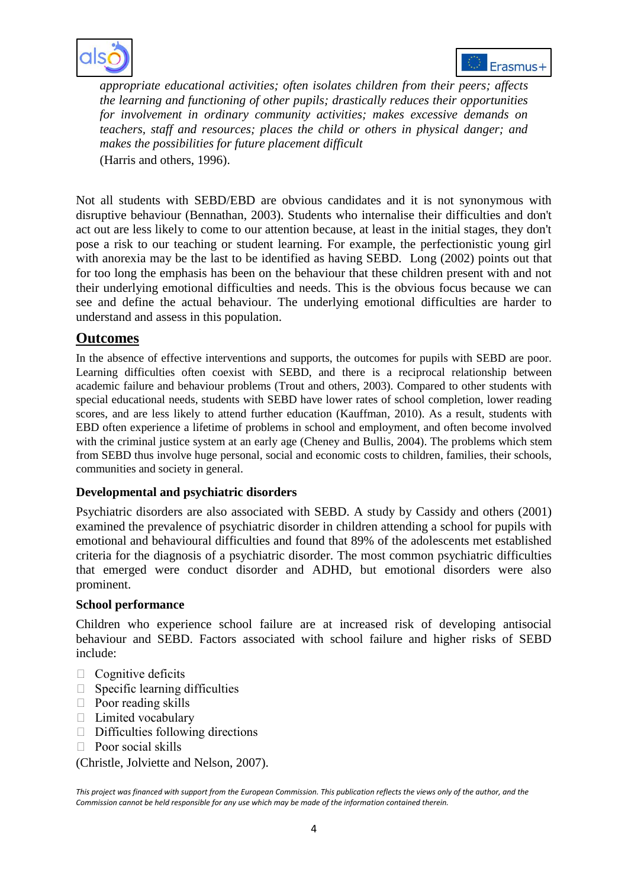



*appropriate educational activities; often isolates children from their peers; affects the learning and functioning of other pupils; drastically reduces their opportunities for involvement in ordinary community activities; makes excessive demands on teachers, staff and resources; places the child or others in physical danger; and makes the possibilities for future placement difficult* (Harris and others, 1996).

Not all students with SEBD/EBD are obvious candidates and it is not synonymous with disruptive behaviour (Bennathan, 2003). Students who internalise their difficulties and don't act out are less likely to come to our attention because, at least in the initial stages, they don't pose a risk to our teaching or student learning. For example, the perfectionistic young girl with anorexia may be the last to be identified as having SEBD. Long (2002) points out that for too long the emphasis has been on the behaviour that these children present with and not their underlying emotional difficulties and needs. This is the obvious focus because we can see and define the actual behaviour. The underlying emotional difficulties are harder to understand and assess in this population.

# **Outcomes**

In the absence of effective interventions and supports, the outcomes for pupils with SEBD are poor. Learning difficulties often coexist with SEBD, and there is a reciprocal relationship between academic failure and behaviour problems (Trout and others, 2003). Compared to other students with special educational needs, students with SEBD have lower rates of school completion, lower reading scores, and are less likely to attend further education (Kauffman, 2010). As a result, students with EBD often experience a lifetime of problems in school and employment, and often become involved with the criminal justice system at an early age (Cheney and Bullis, 2004). The problems which stem from SEBD thus involve huge personal, social and economic costs to children, families, their schools, communities and society in general.

#### **Developmental and psychiatric disorders**

Psychiatric disorders are also associated with SEBD. A study by Cassidy and others (2001) examined the prevalence of psychiatric disorder in children attending a school for pupils with emotional and behavioural difficulties and found that 89% of the adolescents met established criteria for the diagnosis of a psychiatric disorder. The most common psychiatric difficulties that emerged were conduct disorder and ADHD, but emotional disorders were also prominent.

#### **School performance**

Children who experience school failure are at increased risk of developing antisocial behaviour and SEBD. Factors associated with school failure and higher risks of SEBD include:

- $\Box$  Cognitive deficits
- $\Box$  Specific learning difficulties
- $\Box$  Poor reading skills
- $\Box$  Limited vocabulary
- $\Box$  Difficulties following directions
- $\Box$  Poor social skills

(Christle, Jolviette and Nelson, 2007).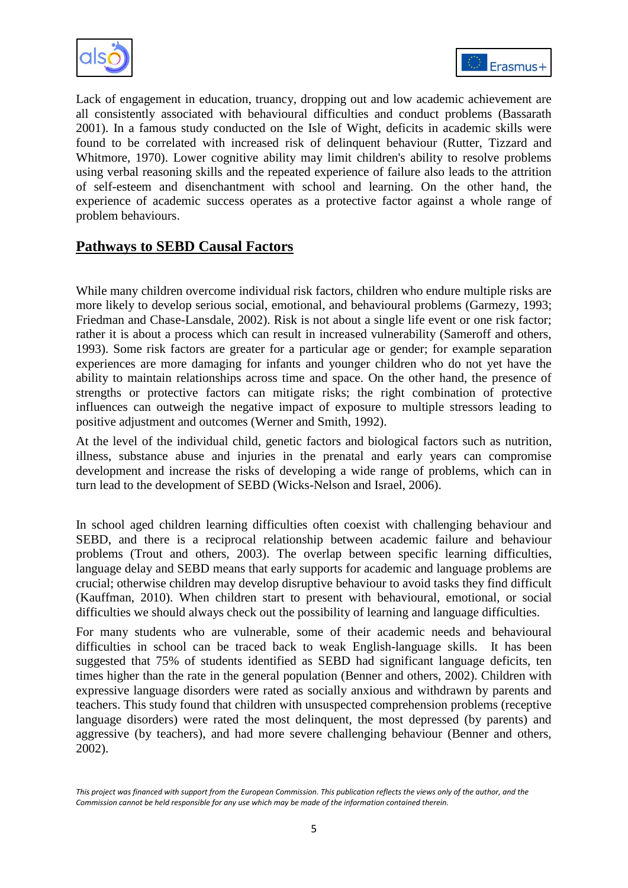



Lack of engagement in education, truancy, dropping out and low academic achievement are all consistently associated with behavioural difficulties and conduct problems (Bassarath 2001). In a famous study conducted on the Isle of Wight, deficits in academic skills were found to be correlated with increased risk of delinquent behaviour (Rutter, Tizzard and Whitmore, 1970). Lower cognitive ability may limit children's ability to resolve problems using verbal reasoning skills and the repeated experience of failure also leads to the attrition of self-esteem and disenchantment with school and learning. On the other hand, the experience of academic success operates as a protective factor against a whole range of problem behaviours.

# **Pathways to SEBD Causal Factors**

While many children overcome individual risk factors, children who endure multiple risks are more likely to develop serious social, emotional, and behavioural problems (Garmezy, 1993; Friedman and Chase-Lansdale, 2002). Risk is not about a single life event or one risk factor; rather it is about a process which can result in increased vulnerability (Sameroff and others, 1993). Some risk factors are greater for a particular age or gender; for example separation experiences are more damaging for infants and younger children who do not yet have the ability to maintain relationships across time and space. On the other hand, the presence of strengths or protective factors can mitigate risks; the right combination of protective influences can outweigh the negative impact of exposure to multiple stressors leading to positive adjustment and outcomes (Werner and Smith, 1992).

At the level of the individual child, genetic factors and biological factors such as nutrition, illness, substance abuse and injuries in the prenatal and early years can compromise development and increase the risks of developing a wide range of problems, which can in turn lead to the development of SEBD (Wicks-Nelson and Israel, 2006).

In school aged children learning difficulties often coexist with challenging behaviour and SEBD, and there is a reciprocal relationship between academic failure and behaviour problems (Trout and others, 2003). The overlap between specific learning difficulties, language delay and SEBD means that early supports for academic and language problems are crucial; otherwise children may develop disruptive behaviour to avoid tasks they find difficult (Kauffman, 2010). When children start to present with behavioural, emotional, or social difficulties we should always check out the possibility of learning and language difficulties.

For many students who are vulnerable, some of their academic needs and behavioural difficulties in school can be traced back to weak English-language skills. It has been suggested that 75% of students identified as SEBD had significant language deficits, ten times higher than the rate in the general population (Benner and others, 2002). Children with expressive language disorders were rated as socially anxious and withdrawn by parents and teachers. This study found that children with unsuspected comprehension problems (receptive language disorders) were rated the most delinquent, the most depressed (by parents) and aggressive (by teachers), and had more severe challenging behaviour (Benner and others, 2002).

*This project was financed with support from the European Commission. This publication reflects the views only of the author, and the Commission cannot be held responsible for any use which may be made of the information contained therein.*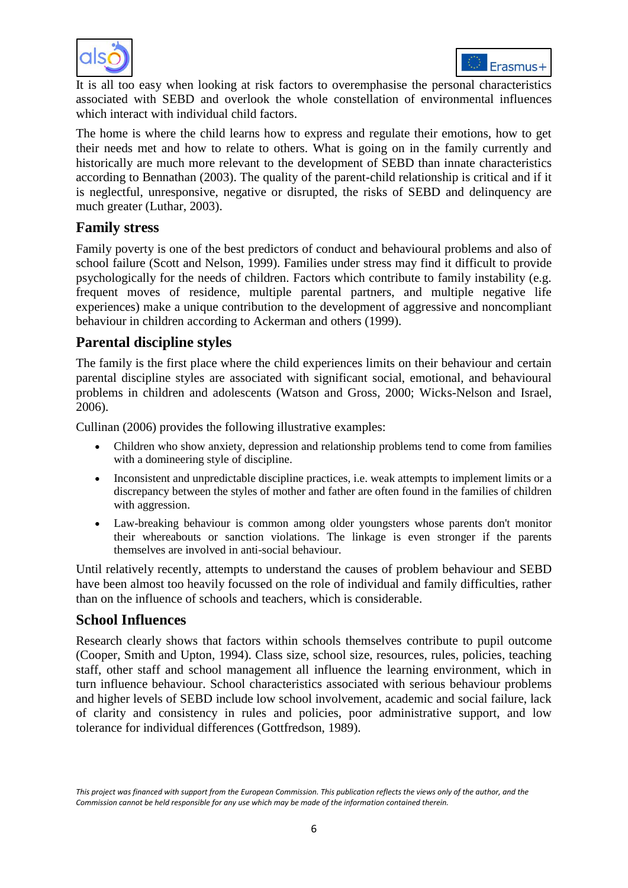



It is all too easy when looking at risk factors to overemphasise the personal characteristics associated with SEBD and overlook the whole constellation of environmental influences which interact with individual child factors.

The home is where the child learns how to express and regulate their emotions, how to get their needs met and how to relate to others. What is going on in the family currently and historically are much more relevant to the development of SEBD than innate characteristics according to Bennathan (2003). The quality of the parent-child relationship is critical and if it is neglectful, unresponsive, negative or disrupted, the risks of SEBD and delinquency are much greater (Luthar, 2003).

# **Family stress**

Family poverty is one of the best predictors of conduct and behavioural problems and also of school failure (Scott and Nelson, 1999). Families under stress may find it difficult to provide psychologically for the needs of children. Factors which contribute to family instability (e.g. frequent moves of residence, multiple parental partners, and multiple negative life experiences) make a unique contribution to the development of aggressive and noncompliant behaviour in children according to Ackerman and others (1999).

# **Parental discipline styles**

The family is the first place where the child experiences limits on their behaviour and certain parental discipline styles are associated with significant social, emotional, and behavioural problems in children and adolescents (Watson and Gross, 2000; Wicks-Nelson and Israel, 2006).

Cullinan (2006) provides the following illustrative examples:

- Children who show anxiety, depression and relationship problems tend to come from families with a domineering style of discipline.
- Inconsistent and unpredictable discipline practices, i.e. weak attempts to implement limits or a discrepancy between the styles of mother and father are often found in the families of children with aggression.
- Law-breaking behaviour is common among older youngsters whose parents don't monitor their whereabouts or sanction violations. The linkage is even stronger if the parents themselves are involved in anti-social behaviour.

Until relatively recently, attempts to understand the causes of problem behaviour and SEBD have been almost too heavily focussed on the role of individual and family difficulties, rather than on the influence of schools and teachers, which is considerable.

# **School Influences**

Research clearly shows that factors within schools themselves contribute to pupil outcome (Cooper, Smith and Upton, 1994). Class size, school size, resources, rules, policies, teaching staff, other staff and school management all influence the learning environment, which in turn influence behaviour. School characteristics associated with serious behaviour problems and higher levels of SEBD include low school involvement, academic and social failure, lack of clarity and consistency in rules and policies, poor administrative support, and low tolerance for individual differences (Gottfredson, 1989).

*This project was financed with support from the European Commission. This publication reflects the views only of the author, and the Commission cannot be held responsible for any use which may be made of the information contained therein.*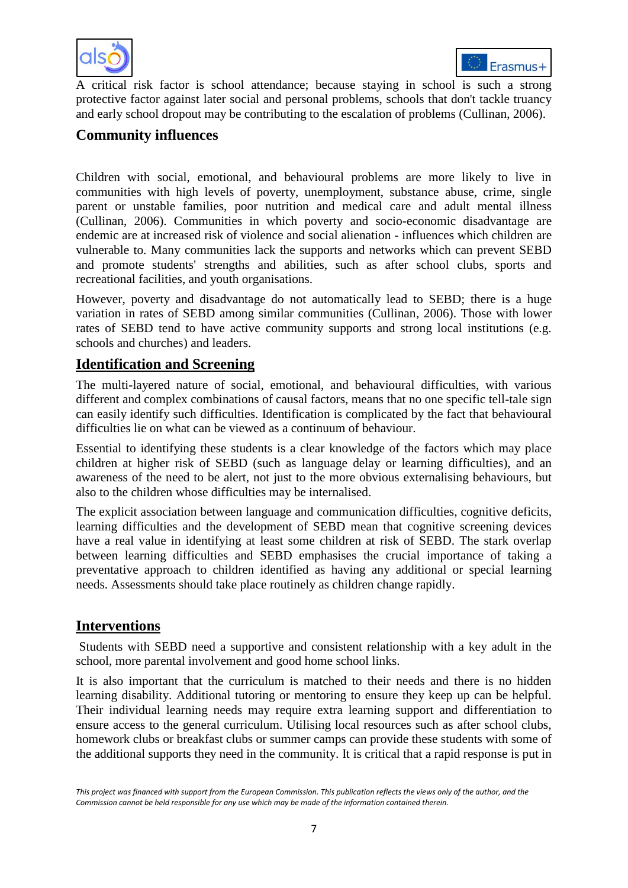



A critical risk factor is school attendance; because staying in school is such a strong protective factor against later social and personal problems, schools that don't tackle truancy and early school dropout may be contributing to the escalation of problems (Cullinan, 2006).

# **Community influences**

Children with social, emotional, and behavioural problems are more likely to live in communities with high levels of poverty, unemployment, substance abuse, crime, single parent or unstable families, poor nutrition and medical care and adult mental illness (Cullinan, 2006). Communities in which poverty and socio-economic disadvantage are endemic are at increased risk of violence and social alienation - influences which children are vulnerable to. Many communities lack the supports and networks which can prevent SEBD and promote students' strengths and abilities, such as after school clubs, sports and recreational facilities, and youth organisations.

However, poverty and disadvantage do not automatically lead to SEBD; there is a huge variation in rates of SEBD among similar communities (Cullinan, 2006). Those with lower rates of SEBD tend to have active community supports and strong local institutions (e.g. schools and churches) and leaders.

# **Identification and Screening**

The multi-layered nature of social, emotional, and behavioural difficulties, with various different and complex combinations of causal factors, means that no one specific tell-tale sign can easily identify such difficulties. Identification is complicated by the fact that behavioural difficulties lie on what can be viewed as a continuum of behaviour.

Essential to identifying these students is a clear knowledge of the factors which may place children at higher risk of SEBD (such as language delay or learning difficulties), and an awareness of the need to be alert, not just to the more obvious externalising behaviours, but also to the children whose difficulties may be internalised.

The explicit association between language and communication difficulties, cognitive deficits, learning difficulties and the development of SEBD mean that cognitive screening devices have a real value in identifying at least some children at risk of SEBD. The stark overlap between learning difficulties and SEBD emphasises the crucial importance of taking a preventative approach to children identified as having any additional or special learning needs. Assessments should take place routinely as children change rapidly.

# **Interventions**

Students with SEBD need a supportive and consistent relationship with a key adult in the school, more parental involvement and good home school links.

It is also important that the curriculum is matched to their needs and there is no hidden learning disability. Additional tutoring or mentoring to ensure they keep up can be helpful. Their individual learning needs may require extra learning support and differentiation to ensure access to the general curriculum. Utilising local resources such as after school clubs, homework clubs or breakfast clubs or summer camps can provide these students with some of the additional supports they need in the community. It is critical that a rapid response is put in

*This project was financed with support from the European Commission. This publication reflects the views only of the author, and the Commission cannot be held responsible for any use which may be made of the information contained therein.*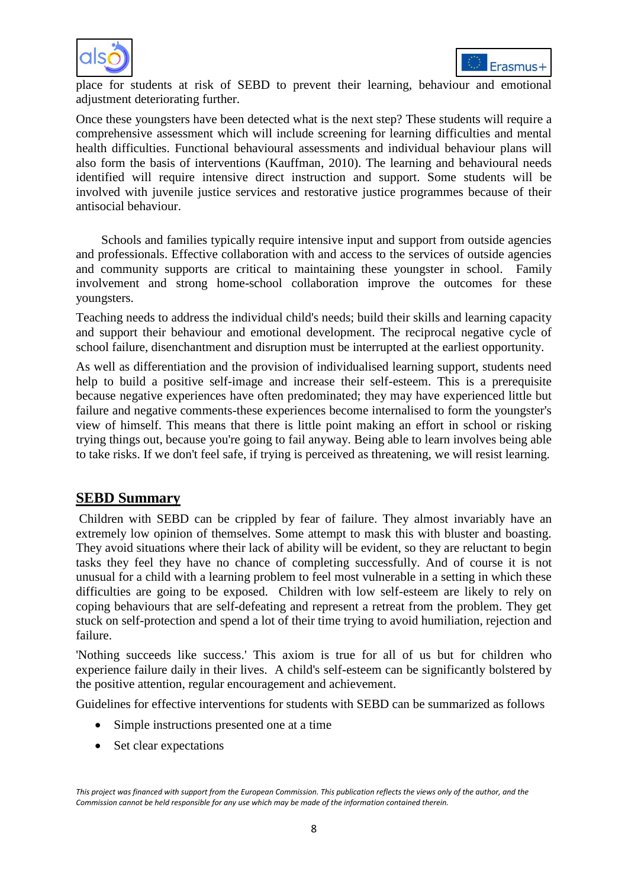



place for students at risk of SEBD to prevent their learning, behaviour and emotional adjustment deteriorating further.

Once these youngsters have been detected what is the next step? These students will require a comprehensive assessment which will include screening for learning difficulties and mental health difficulties. Functional behavioural assessments and individual behaviour plans will also form the basis of interventions (Kauffman, 2010). The learning and behavioural needs identified will require intensive direct instruction and support. Some students will be involved with juvenile justice services and restorative justice programmes because of their antisocial behaviour.

Schools and families typically require intensive input and support from outside agencies and professionals. Effective collaboration with and access to the services of outside agencies and community supports are critical to maintaining these youngster in school. Family involvement and strong home-school collaboration improve the outcomes for these youngsters.

Teaching needs to address the individual child's needs; build their skills and learning capacity and support their behaviour and emotional development. The reciprocal negative cycle of school failure, disenchantment and disruption must be interrupted at the earliest opportunity.

As well as differentiation and the provision of individualised learning support, students need help to build a positive self-image and increase their self-esteem. This is a prerequisite because negative experiences have often predominated; they may have experienced little but failure and negative comments-these experiences become internalised to form the youngster's view of himself. This means that there is little point making an effort in school or risking trying things out, because you're going to fail anyway. Being able to learn involves being able to take risks. If we don't feel safe, if trying is perceived as threatening, we will resist learning.

## **SEBD Summary**

Children with SEBD can be crippled by fear of failure. They almost invariably have an extremely low opinion of themselves. Some attempt to mask this with bluster and boasting. They avoid situations where their lack of ability will be evident, so they are reluctant to begin tasks they feel they have no chance of completing successfully. And of course it is not unusual for a child with a learning problem to feel most vulnerable in a setting in which these difficulties are going to be exposed. Children with low self-esteem are likely to rely on coping behaviours that are self-defeating and represent a retreat from the problem. They get stuck on self-protection and spend a lot of their time trying to avoid humiliation, rejection and failure.

'Nothing succeeds like success.' This axiom is true for all of us but for children who experience failure daily in their lives. A child's self-esteem can be significantly bolstered by the positive attention, regular encouragement and achievement.

Guidelines for effective interventions for students with SEBD can be summarized as follows

- Simple instructions presented one at a time
- Set clear expectations

*This project was financed with support from the European Commission. This publication reflects the views only of the author, and the Commission cannot be held responsible for any use which may be made of the information contained therein.*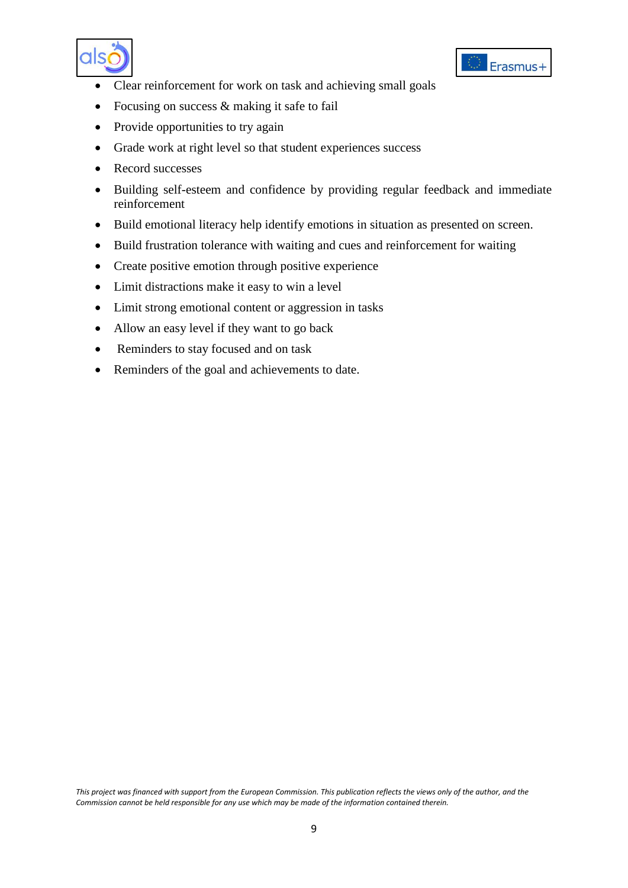



- Clear reinforcement for work on task and achieving small goals
- Focusing on success & making it safe to fail
- Provide opportunities to try again
- Grade work at right level so that student experiences success
- Record successes
- Building self-esteem and confidence by providing regular feedback and immediate reinforcement
- Build emotional literacy help identify emotions in situation as presented on screen.
- Build frustration tolerance with waiting and cues and reinforcement for waiting
- Create positive emotion through positive experience
- Limit distractions make it easy to win a level
- Limit strong emotional content or aggression in tasks
- Allow an easy level if they want to go back
- Reminders to stay focused and on task
- Reminders of the goal and achievements to date.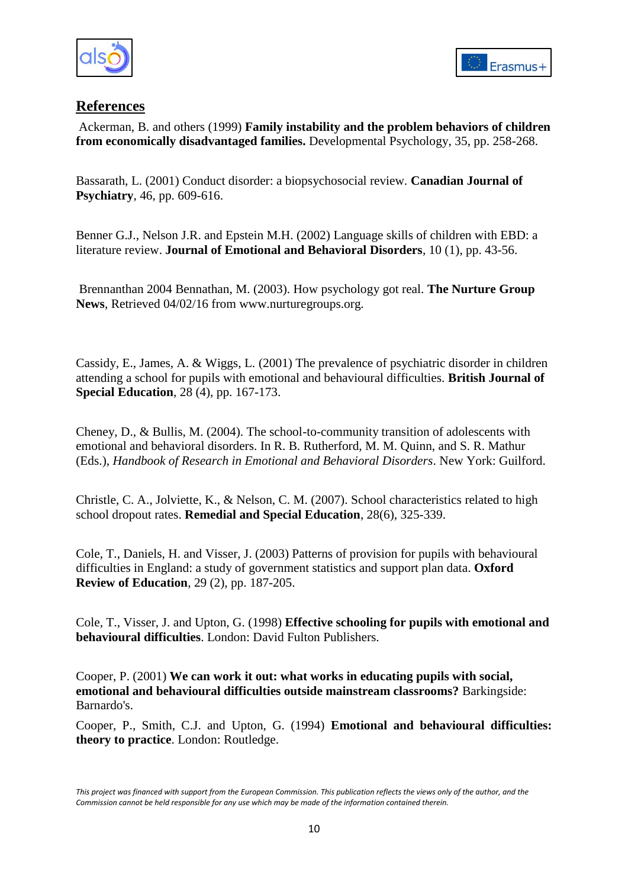



# **References**

Ackerman, B. and others (1999) **Family instability and the problem behaviors of children from economically disadvantaged families.** Developmental Psychology, 35, pp. 258-268.

Bassarath, L. (2001) Conduct disorder: a biopsychosocial review. **Canadian Journal of Psychiatry**, 46, pp. 609-616.

Benner G.J., Nelson J.R. and Epstein M.H. (2002) Language skills of children with EBD: a literature review. **Journal of Emotional and Behavioral Disorders**, 10 (1), pp. 43-56.

Brennanthan 2004 Bennathan, M. (2003). How psychology got real. **The Nurture Group News**, Retrieved 04/02/16 from www.nurturegroups.org.

Cassidy, E., James, A. & Wiggs, L. (2001) The prevalence of psychiatric disorder in children attending a school for pupils with emotional and behavioural difficulties. **British Journal of Special Education**, 28 (4), pp. 167-173.

Cheney, D., & Bullis, M. (2004). The school-to-community transition of adolescents with emotional and behavioral disorders. In R. B. Rutherford, M. M. Quinn, and S. R. Mathur (Eds.), *Handbook of Research in Emotional and Behavioral Disorders*. New York: Guilford.

Christle, C. A., Jolviette, K., & Nelson, C. M. (2007). School characteristics related to high school dropout rates. **Remedial and Special Education**, 28(6), 325-339.

Cole, T., Daniels, H. and Visser, J. (2003) Patterns of provision for pupils with behavioural difficulties in England: a study of government statistics and support plan data. **Oxford Review of Education**, 29 (2), pp. 187-205.

Cole, T., Visser, J. and Upton, G. (1998) **Effective schooling for pupils with emotional and behavioural difficulties**. London: David Fulton Publishers.

Cooper, P. (2001) **We can work it out: what works in educating pupils with social, emotional and behavioural difficulties outside mainstream classrooms?** Barkingside: Barnardo's.

Cooper, P., Smith, C.J. and Upton, G. (1994) **Emotional and behavioural difficulties: theory to practice**. London: Routledge.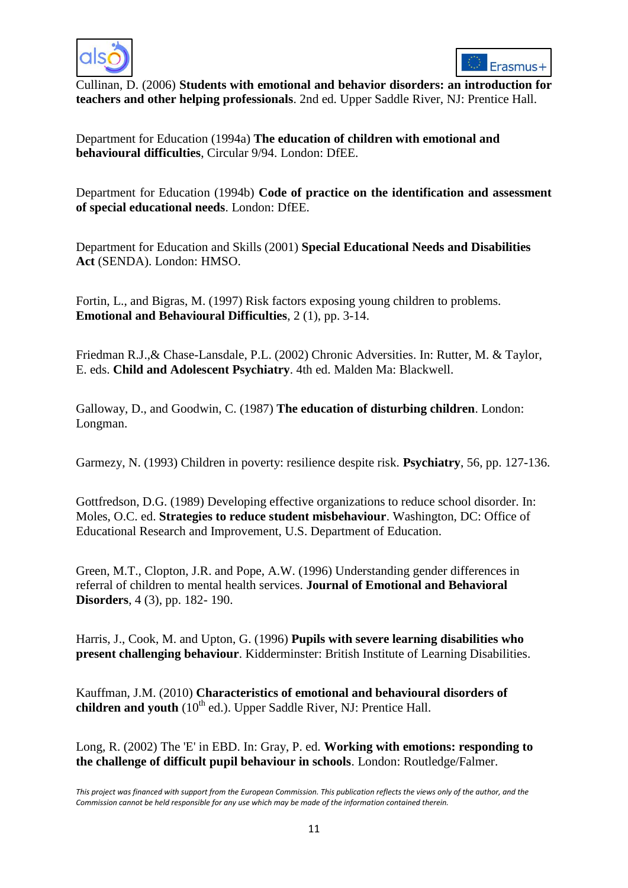



Cullinan, D. (2006) **Students with emotional and behavior disorders: an introduction for teachers and other helping professionals**. 2nd ed. Upper Saddle River, NJ: Prentice Hall.

Department for Education (1994a) **The education of children with emotional and behavioural difficulties**, Circular 9/94. London: DfEE.

Department for Education (1994b) **Code of practice on the identification and assessment of special educational needs**. London: DfEE.

Department for Education and Skills (2001) **Special Educational Needs and Disabilities Act** (SENDA). London: HMSO.

Fortin, L., and Bigras, M. (1997) Risk factors exposing young children to problems. **Emotional and Behavioural Difficulties**, 2 (1), pp. 3-14.

Friedman R.J.,& Chase-Lansdale, P.L. (2002) Chronic Adversities. In: Rutter, M. & Taylor, E. eds. **Child and Adolescent Psychiatry**. 4th ed. Malden Ma: Blackwell.

Galloway, D., and Goodwin, C. (1987) **The education of disturbing children**. London: Longman.

Garmezy, N. (1993) Children in poverty: resilience despite risk. **Psychiatry**, 56, pp. 127-136.

Gottfredson, D.G. (1989) Developing effective organizations to reduce school disorder. In: Moles, O.C. ed. **Strategies to reduce student misbehaviour**. Washington, DC: Office of Educational Research and Improvement, U.S. Department of Education.

Green, M.T., Clopton, J.R. and Pope, A.W. (1996) Understanding gender differences in referral of children to mental health services. **Journal of Emotional and Behavioral Disorders**, 4 (3), pp. 182- 190.

Harris, J., Cook, M. and Upton, G. (1996) **Pupils with severe learning disabilities who present challenging behaviour**. Kidderminster: British Institute of Learning Disabilities.

Kauffman, J.M. (2010) **Characteristics of emotional and behavioural disorders of**  children and youth (10<sup>th</sup> ed.). Upper Saddle River, NJ: Prentice Hall.

Long, R. (2002) The 'E' in EBD. In: Gray, P. ed. **Working with emotions: responding to the challenge of difficult pupil behaviour in schools**. London: Routledge/Falmer.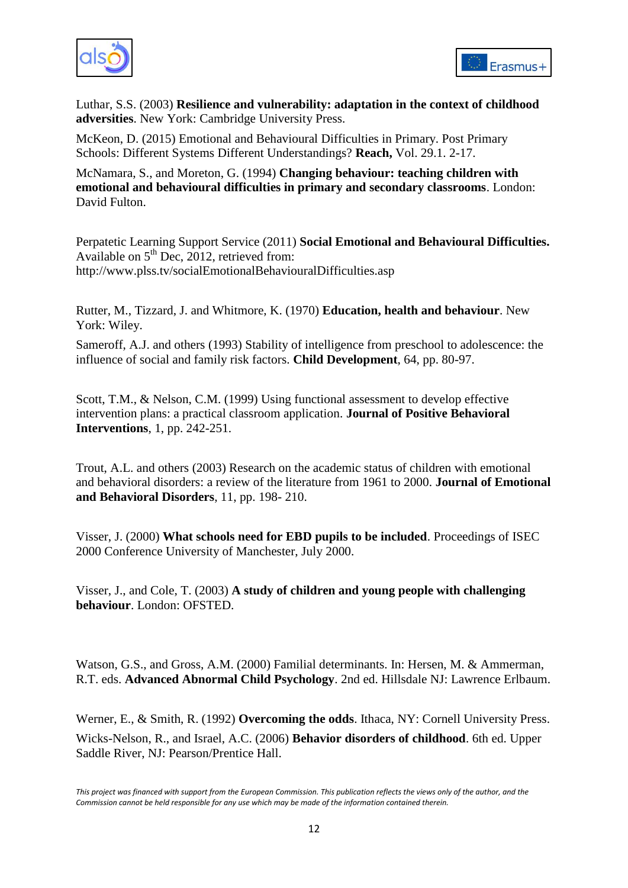



Luthar, S.S. (2003) **Resilience and vulnerability: adaptation in the context of childhood adversities**. New York: Cambridge University Press.

McKeon, D. (2015) Emotional and Behavioural Difficulties in Primary. Post Primary Schools: Different Systems Different Understandings? **Reach,** Vol. 29.1. 2-17.

McNamara, S., and Moreton, G. (1994) **Changing behaviour: teaching children with emotional and behavioural difficulties in primary and secondary classrooms**. London: David Fulton.

Perpatetic Learning Support Service (2011) **Social Emotional and Behavioural Difficulties.** Available on  $5<sup>th</sup>$  Dec, 2012, retrieved from: http://www.plss.tv/socialEmotionalBehaviouralDifficulties.asp

Rutter, M., Tizzard, J. and Whitmore, K. (1970) **Education, health and behaviour**. New York: Wiley.

Sameroff, A.J. and others (1993) Stability of intelligence from preschool to adolescence: the influence of social and family risk factors. **Child Development**, 64, pp. 80-97.

Scott, T.M., & Nelson, C.M. (1999) Using functional assessment to develop effective intervention plans: a practical classroom application. **Journal of Positive Behavioral Interventions**, 1, pp. 242-251.

Trout, A.L. and others (2003) Research on the academic status of children with emotional and behavioral disorders: a review of the literature from 1961 to 2000. **Journal of Emotional and Behavioral Disorders**, 11, pp. 198- 210.

Visser, J. (2000) **What schools need for EBD pupils to be included**. Proceedings of ISEC 2000 Conference University of Manchester, July 2000.

Visser, J., and Cole, T. (2003) **A study of children and young people with challenging behaviour**. London: OFSTED.

Watson, G.S., and Gross, A.M. (2000) Familial determinants. In: Hersen, M. & Ammerman, R.T. eds. **Advanced Abnormal Child Psychology**. 2nd ed. Hillsdale NJ: Lawrence Erlbaum.

Werner, E., & Smith, R. (1992) **Overcoming the odds**. Ithaca, NY: Cornell University Press. Wicks-Nelson, R., and Israel, A.C. (2006) **Behavior disorders of childhood**. 6th ed. Upper Saddle River, NJ: Pearson/Prentice Hall.

*This project was financed with support from the European Commission. This publication reflects the views only of the author, and the Commission cannot be held responsible for any use which may be made of the information contained therein.*